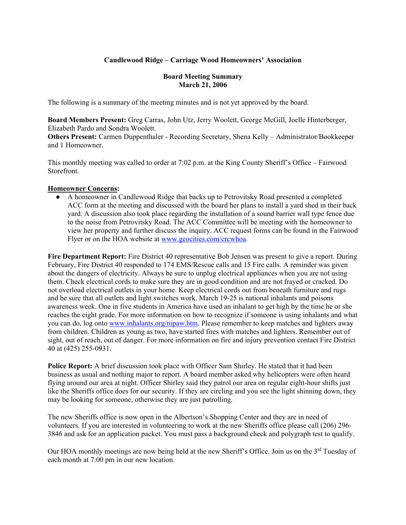## **Candlewood Ridge – Carriage Wood Homeowners' Association**

#### **Board Meeting Summary March 21, 2006**

The following is a summary of the meeting minutes and is not yet approved by the board.

**Board Members Present:** Greg Carras, John Utz, Jerry Woolett, George McGill, Joelle Hinterberger, Elizabeth Pardo and Sondra Woolett.

**Others Present:** Carmen Duppenthaler - Recording Secretary, Shena Kelly – Administrator/Bookkeeper and 1 Homeowner.

This monthly meeting was called to order at 7:02 p.m. at the King County Sheriff's Office – Fairwood Storefront.

#### **Homeowner Concerns:**

● A homeowner in Candlewood Ridge that backs up to Petrovitsky Road presented a completed ACC form at the meeting and discussed with the board her plans to install a yard shed in their back yard. A discussion also took place regarding the installation of a sound barrier wall type fence due to the noise from Petrovitsky Road. The ACC Committee will be meeting with the homeowner to view her property and further discuss the inquiry. ACC request forms can be found in the Fairwood Flyer or on the HOA website at www.geocities.com/crcwhoa.

**Fire Department Report:** Fire District 40 representative Bob Jensen was present to give a report. During February, Fire District 40 responded to 174 EMS/Rescue calls and 15 Fire calls. A reminder was given about the dangers of electricity. Always be sure to unplug electrical appliances when you are not using them. Check electrical cords to make sure they are in good condition and are not frayed or cracked. Do not overload electrical outlets in your home. Keep electrical cords out from beneath furniture and rugs and be sure that all outlets and light switches work. March 19-25 is national inhalants and poisons awareness week. One in five students in America have used an inhalant to get high by the time he or she reaches the eight grade. For more information on how to recognize if someone is using inhalants and what you can do, log onto www.inhalants.org/nipaw.htm. Please remember to keep matches and lighters away from children. Children as young as two, have started fires with matches and lighters. Remember out of sight, out of reach, out of danger. For more information on fire and injury prevention contact Fire District 40 at (425) 255-0931.

**Police Report:** A brief discussion took place with Officer Sam Shirley. He stated that it had been business as usual and nothing major to report. A board member asked why helicopters were often heard flying around our area at night. Officer Shirley said they patrol our area on regular eight-hour shifts just like the Sheriffs office does for our security. If they are circling and you see the light shinning down, they may be looking for someone, otherwise they are just patrolling.

The new Sheriffs office is now open in the Albertson's Shopping Center and they are in need of volunteers. If you are interested in volunteering to work at the new Sheriffs office please call (206) 296- 3846 and ask for an application packet. You must pass a background check and polygraph test to qualify.

Our HOA monthly meetings are now being held at the new Sheriff's Office. Join us on the 3<sup>rd</sup> Tuesday of each month at 7:00 pm in our new location.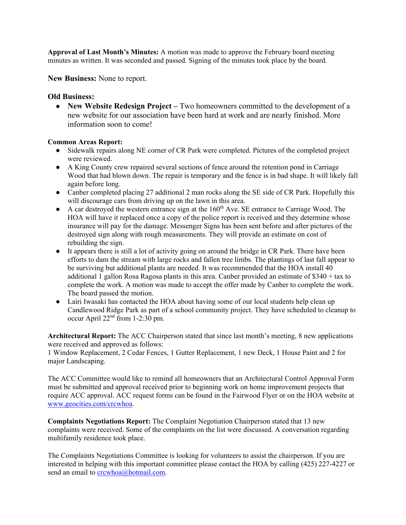**Approval of Last Month's Minutes:** A motion was made to approve the February board meeting minutes as written. It was seconded and passed. Signing of the minutes took place by the board.

**New Business:** None to report.

## **Old Business:**

● **New Website Redesign Project –** Two homeowners committed to the development of a new website for our association have been hard at work and are nearly finished. More information soon to come!

#### **Common Areas Report:**

- Sidewalk repairs along NE corner of CR Park were completed. Pictures of the completed project were reviewed.
- A King County crew repaired several sections of fence around the retention pond in Carriage Wood that had blown down. The repair is temporary and the fence is in bad shape. It will likely fall again before long.
- Canber completed placing 27 additional 2 man rocks along the SE side of CR Park. Hopefully this will discourage cars from driving up on the lawn in this area.
- $\bullet$  A car destroyed the western entrance sign at the 160<sup>th</sup> Ave. SE entrance to Carriage Wood. The HOA will have it replaced once a copy of the police report is received and they determine whose insurance will pay for the damage. Messenger Signs has been sent before and after pictures of the destroyed sign along with rough measurements. They will provide an estimate on cost of rebuilding the sign.
- It appears there is still a lot of activity going on around the bridge in CR Park. There have been efforts to dam the stream with large rocks and fallen tree limbs. The plantings of last fall appear to be surviving but additional plants are needed. It was recommended that the HOA install 40 additional 1 gallon Rosa Ragosa plants in this area. Canber provided an estimate of  $$340 + tax$  to complete the work. A motion was made to accept the offer made by Canber to complete the work. The board passed the motion.
- Lairi Iwasaki has contacted the HOA about having some of our local students help clean up Candlewood Ridge Park as part of a school community project. They have scheduled to cleanup to occur April  $22<sup>nd</sup>$  from 1-2:30 pm.

**Architectural Report:** The ACC Chairperson stated that since last month's meeting, 8 new applications were received and approved as follows:

1 Window Replacement, 2 Cedar Fences, 1 Gutter Replacement, 1 new Deck, 1 House Paint and 2 for major Landscaping.

The ACC Committee would like to remind all homeowners that an Architectural Control Approval Form must be submitted and approval received prior to beginning work on home improvement projects that require ACC approval. ACC request forms can be found in the Fairwood Flyer or on the HOA website at www.geocities.com/crcwhoa.

**Complaints Negotiations Report:** The Complaint Negotiation Chairperson stated that 13 new complaints were received. Some of the complaints on the list were discussed. A conversation regarding multifamily residence took place.

The Complaints Negotiations Committee is looking for volunteers to assist the chairperson. If you are interested in helping with this important committee please contact the HOA by calling (425) 227-4227 or send an email to crcwhoa@hotmail.com.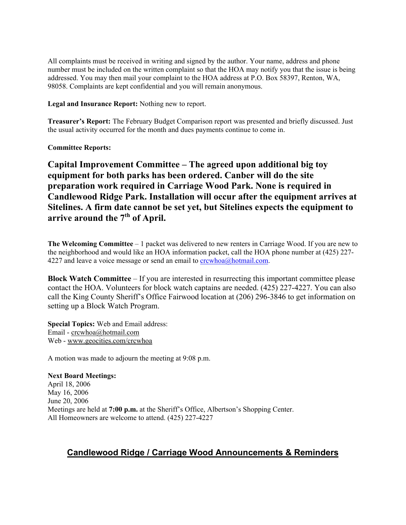All complaints must be received in writing and signed by the author. Your name, address and phone number must be included on the written complaint so that the HOA may notify you that the issue is being addressed. You may then mail your complaint to the HOA address at P.O. Box 58397, Renton, WA, 98058. Complaints are kept confidential and you will remain anonymous.

**Legal and Insurance Report:** Nothing new to report.

**Treasurer's Report:** The February Budget Comparison report was presented and briefly discussed. Just the usual activity occurred for the month and dues payments continue to come in.

**Committee Reports:**

**Capital Improvement Committee – The agreed upon additional big toy equipment for both parks has been ordered. Canber will do the site preparation work required in Carriage Wood Park. None is required in Candlewood Ridge Park. Installation will occur after the equipment arrives at Sitelines. A firm date cannot be set yet, but Sitelines expects the equipment to arrive around the 7th of April.** 

**The Welcoming Committee** – 1 packet was delivered to new renters in Carriage Wood. If you are new to the neighborhood and would like an HOA information packet, call the HOA phone number at (425) 227- 4227 and leave a voice message or send an email to  $crewhoa@hotmail.com$ .

**Block Watch Committee** – If you are interested in resurrecting this important committee please contact the HOA. Volunteers for block watch captains are needed. (425) 227-4227. You can also call the King County Sheriff's Office Fairwood location at (206) 296-3846 to get information on setting up a Block Watch Program.

**Special Topics:** Web and Email address: Email - crcwhoa@hotmail.com Web - www.geocities.com/crcwhoa

A motion was made to adjourn the meeting at 9:08 p.m.

**Next Board Meetings:**

April 18, 2006 May 16, 2006 June 20, 2006 Meetings are held at **7:00 p.m.** at the Sheriff's Office, Albertson's Shopping Center. All Homeowners are welcome to attend. (425) 227-4227

# **Candlewood Ridge / Carriage Wood Announcements & Reminders**